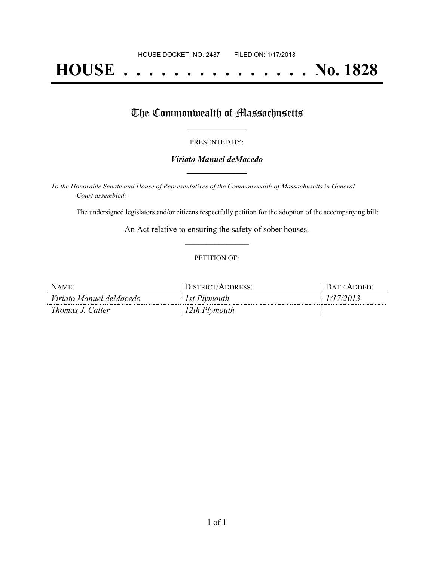# **HOUSE . . . . . . . . . . . . . . . No. 1828**

## The Commonwealth of Massachusetts

#### PRESENTED BY:

#### *Viriato Manuel deMacedo* **\_\_\_\_\_\_\_\_\_\_\_\_\_\_\_\_\_**

*To the Honorable Senate and House of Representatives of the Commonwealth of Massachusetts in General Court assembled:*

The undersigned legislators and/or citizens respectfully petition for the adoption of the accompanying bill:

An Act relative to ensuring the safety of sober houses. **\_\_\_\_\_\_\_\_\_\_\_\_\_\_\_**

#### PETITION OF:

| NAME:                   | DISTRICT/ADDRESS: | <b>DATE ADDED:</b> |
|-------------------------|-------------------|--------------------|
| Viriato Manuel deMacedo | 1st Plymouth      | 1/17/2013          |
| Thomas J. Calter        | 12th Plymouth     |                    |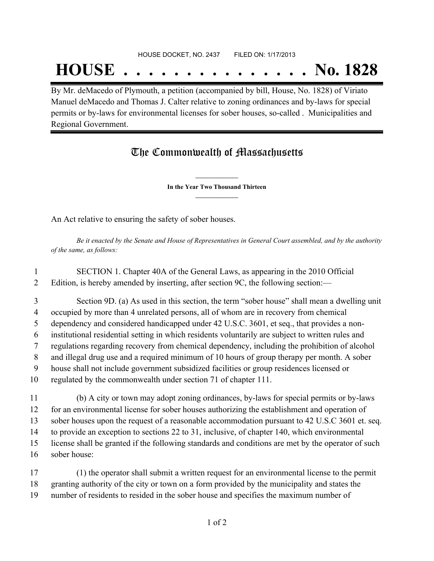## **HOUSE . . . . . . . . . . . . . . . No. 1828**

By Mr. deMacedo of Plymouth, a petition (accompanied by bill, House, No. 1828) of Viriato Manuel deMacedo and Thomas J. Calter relative to zoning ordinances and by-laws for special permits or by-laws for environmental licenses for sober houses, so-called . Municipalities and Regional Government.

### The Commonwealth of Massachusetts

**\_\_\_\_\_\_\_\_\_\_\_\_\_\_\_ In the Year Two Thousand Thirteen \_\_\_\_\_\_\_\_\_\_\_\_\_\_\_**

An Act relative to ensuring the safety of sober houses.

Be it enacted by the Senate and House of Representatives in General Court assembled, and by the authority *of the same, as follows:*

 SECTION 1. Chapter 40A of the General Laws, as appearing in the 2010 Official Edition, is hereby amended by inserting, after section 9C, the following section:—

- Section 9D. (a) As used in this section, the term "sober house" shall mean a dwelling unit occupied by more than 4 unrelated persons, all of whom are in recovery from chemical dependency and considered handicapped under 42 U.S.C. 3601, et seq., that provides a non- institutional residential setting in which residents voluntarily are subject to written rules and regulations regarding recovery from chemical dependency, including the prohibition of alcohol and illegal drug use and a required minimum of 10 hours of group therapy per month. A sober house shall not include government subsidized facilities or group residences licensed or regulated by the commonwealth under section 71 of chapter 111.
- (b) A city or town may adopt zoning ordinances, by-laws for special permits or by-laws for an environmental license for sober houses authorizing the establishment and operation of sober houses upon the request of a reasonable accommodation pursuant to 42 U.S.C 3601 et. seq. to provide an exception to sections 22 to 31, inclusive, of chapter 140, which environmental license shall be granted if the following standards and conditions are met by the operator of such sober house:
- (1) the operator shall submit a written request for an environmental license to the permit granting authority of the city or town on a form provided by the municipality and states the number of residents to resided in the sober house and specifies the maximum number of